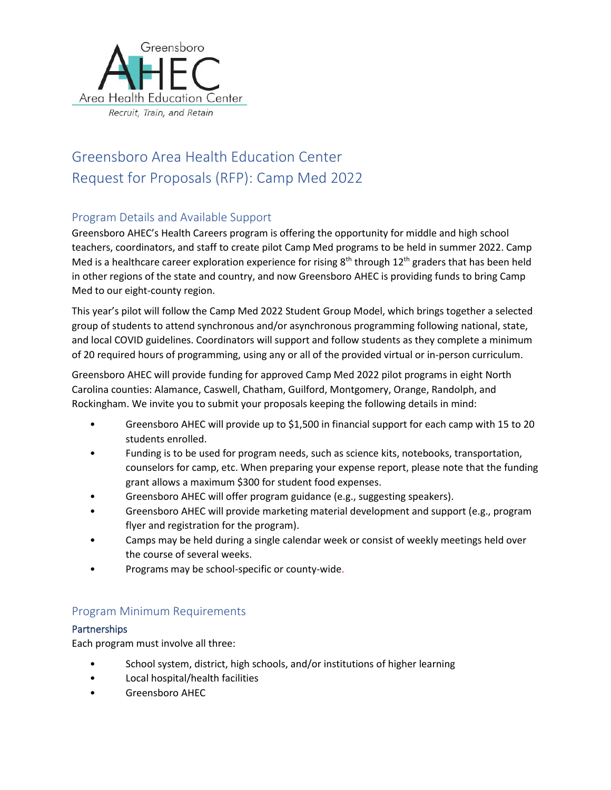

# Greensboro Area Health Education Center Request for Proposals (RFP): Camp Med 2022

# Program Details and Available Support

Greensboro AHEC's Health Careers program is offering the opportunity for middle and high school teachers, coordinators, and staff to create pilot Camp Med programs to be held in summer 2022. Camp Med is a healthcare career exploration experience for rising  $8<sup>th</sup>$  through 12<sup>th</sup> graders that has been held in other regions of the state and country, and now Greensboro AHEC is providing funds to bring Camp Med to our eight-county region.

This year's pilot will follow the Camp Med 2022 Student Group Model, which brings together a selected group of students to attend synchronous and/or asynchronous programming following national, state, and local COVID guidelines. Coordinators will support and follow students as they complete a minimum of 20 required hours of programming, using any or all of the provided virtual or in-person curriculum.

Greensboro AHEC will provide funding for approved Camp Med 2022 pilot programs in eight North Carolina counties: Alamance, Caswell, Chatham, Guilford, Montgomery, Orange, Randolph, and Rockingham. We invite you to submit your proposals keeping the following details in mind:

- Greensboro AHEC will provide up to \$1,500 in financial support for each camp with 15 to 20 students enrolled.
- Funding is to be used for program needs, such as science kits, notebooks, transportation, counselors for camp, etc. When preparing your expense report, please note that the funding grant allows a maximum \$300 for student food expenses.
- Greensboro AHEC will offer program guidance (e.g., suggesting speakers).
- Greensboro AHEC will provide marketing material development and support (e.g., program flyer and registration for the program).
- Camps may be held during a single calendar week or consist of weekly meetings held over the course of several weeks.
- Programs may be school-specific or county-wide.

## Program Minimum Requirements

### **Partnerships**

Each program must involve all three:

- School system, district, high schools, and/or institutions of higher learning
- Local hospital/health facilities
- Greensboro AHEC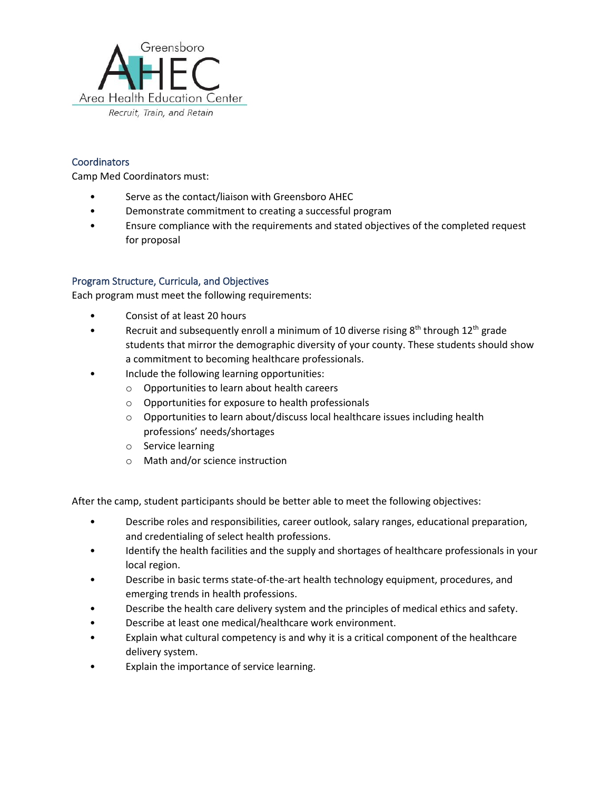

### **Coordinators**

Camp Med Coordinators must:

- Serve as the contact/liaison with Greensboro AHEC
- Demonstrate commitment to creating a successful program
- Ensure compliance with the requirements and stated objectives of the completed request for proposal

### Program Structure, Curricula, and Objectives

Each program must meet the following requirements:

- Consist of at least 20 hours
- Recruit and subsequently enroll a minimum of 10 diverse rising  $8<sup>th</sup>$  through  $12<sup>th</sup>$  grade students that mirror the demographic diversity of your county. These students should show a commitment to becoming healthcare professionals.
- Include the following learning opportunities:
	- o Opportunities to learn about health careers
	- o Opportunities for exposure to health professionals
	- o Opportunities to learn about/discuss local healthcare issues including health professions' needs/shortages
	- o Service learning
	- o Math and/or science instruction

After the camp, student participants should be better able to meet the following objectives:

- Describe roles and responsibilities, career outlook, salary ranges, educational preparation, and credentialing of select health professions.
- Identify the health facilities and the supply and shortages of healthcare professionals in your local region.
- Describe in basic terms state-of-the-art health technology equipment, procedures, and emerging trends in health professions.
- Describe the health care delivery system and the principles of medical ethics and safety.
- Describe at least one medical/healthcare work environment.
- Explain what cultural competency is and why it is a critical component of the healthcare delivery system.
- Explain the importance of service learning.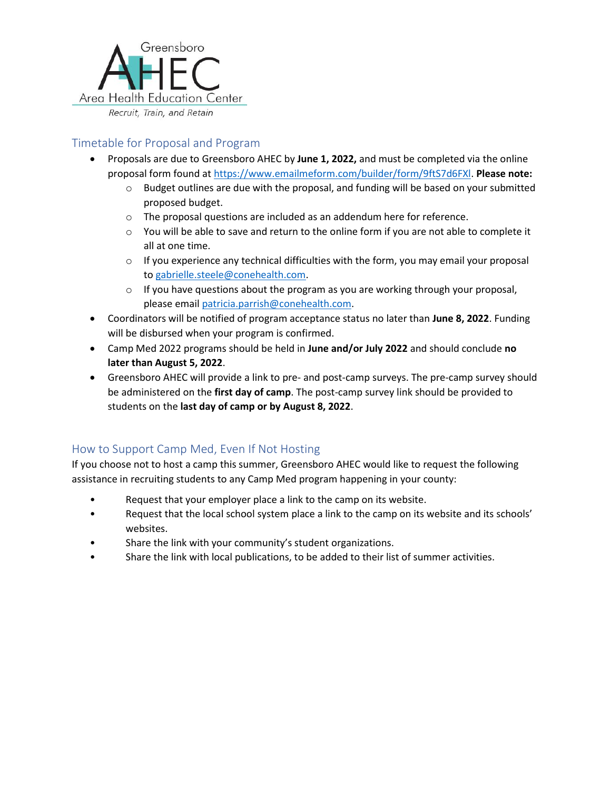

# Timetable for Proposal and Program

- Proposals are due to Greensboro AHEC by **June 1, 2022,** and must be completed via the online proposal form found at [https://www.emailmeform.com/builder/form/9ftS7d6FXl.](https://www.emailmeform.com/builder/form/9ftS7d6FXl) **Please note:**
	- $\circ$  Budget outlines are due with the proposal, and funding will be based on your submitted proposed budget.
	- o The proposal questions are included as an addendum here for reference.
	- $\circ$  You will be able to save and return to the online form if you are not able to complete it all at one time.
	- $\circ$  If you experience any technical difficulties with the form, you may email your proposal to [gabrielle.steele@conehealth.com.](mailto:Gabrielle.Steele@conehealth.com)
	- $\circ$  If you have questions about the program as you are working through your proposal, please emai[l patricia.parrish@conehealth.com.](mailto:Patricia.Parrish@conehealth.com)
- Coordinators will be notified of program acceptance status no later than **June 8, 2022**. Funding will be disbursed when your program is confirmed.
- Camp Med 2022 programs should be held in **June and/or July 2022** and should conclude **no later than August 5, 2022**.
- Greensboro AHEC will provide a link to pre- and post-camp surveys. The pre-camp survey should be administered on the **first day of camp**. The post-camp survey link should be provided to students on the **last day of camp or by August 8, 2022**.

## How to Support Camp Med, Even If Not Hosting

If you choose not to host a camp this summer, Greensboro AHEC would like to request the following assistance in recruiting students to any Camp Med program happening in your county:

- Request that your employer place a link to the camp on its website.
- Request that the local school system place a link to the camp on its website and its schools' websites.
- Share the link with your community's student organizations.
- Share the link with local publications, to be added to their list of summer activities.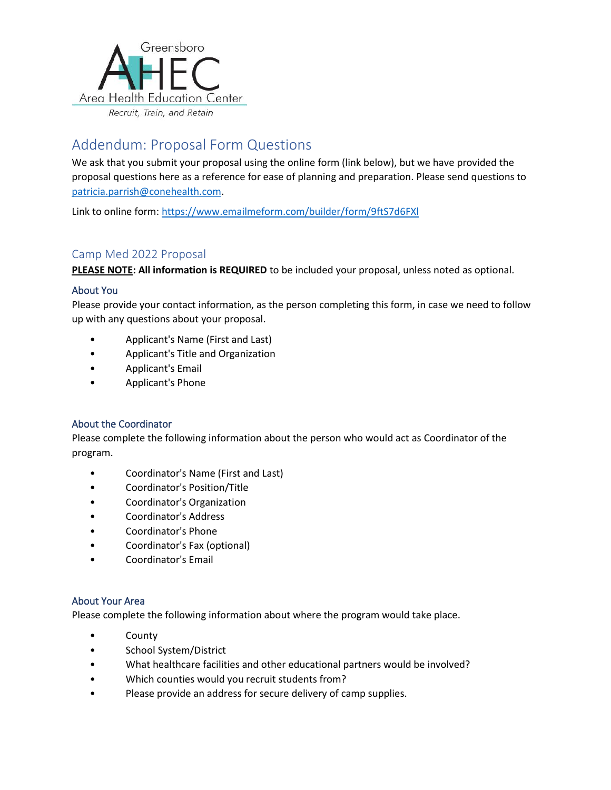

# Addendum: Proposal Form Questions

We ask that you submit your proposal using the online form (link below), but we have provided the proposal questions here as a reference for ease of planning and preparation. Please send questions to [patricia.parrish@conehealth.com.](mailto:patricia.parrish@conehealth.com)

Link to online form:<https://www.emailmeform.com/builder/form/9ftS7d6FXl>

# Camp Med 2022 Proposal

**PLEASE NOTE: All information is REQUIRED** to be included your proposal, unless noted as optional.

### About You

Please provide your contact information, as the person completing this form, in case we need to follow up with any questions about your proposal.

- Applicant's Name (First and Last)
- Applicant's Title and Organization
- Applicant's Email
- Applicant's Phone

### About the Coordinator

Please complete the following information about the person who would act as Coordinator of the program.

- Coordinator's Name (First and Last)
- Coordinator's Position/Title
- Coordinator's Organization
- Coordinator's Address
- Coordinator's Phone
- Coordinator's Fax (optional)
- Coordinator's Email

### About Your Area

Please complete the following information about where the program would take place.

- **County**
- School System/District
- What healthcare facilities and other educational partners would be involved?
- Which counties would you recruit students from?
- Please provide an address for secure delivery of camp supplies.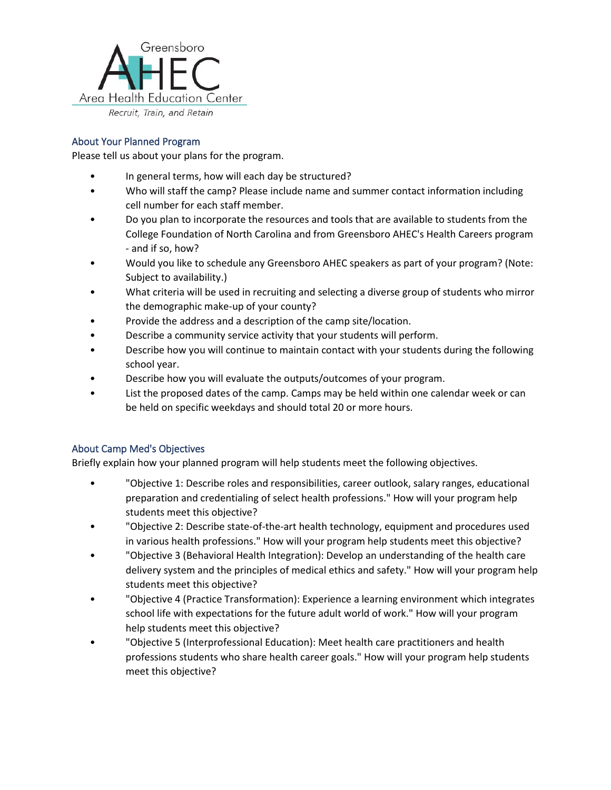

### About Your Planned Program

Please tell us about your plans for the program.

- In general terms, how will each day be structured?
- Who will staff the camp? Please include name and summer contact information including cell number for each staff member.
- Do you plan to incorporate the resources and tools that are available to students from the College Foundation of North Carolina and from Greensboro AHEC's Health Careers program - and if so, how?
- Would you like to schedule any Greensboro AHEC speakers as part of your program? (Note: Subject to availability.)
- What criteria will be used in recruiting and selecting a diverse group of students who mirror the demographic make-up of your county?
- Provide the address and a description of the camp site/location.
- Describe a community service activity that your students will perform.
- Describe how you will continue to maintain contact with your students during the following school year.
- Describe how you will evaluate the outputs/outcomes of your program.
- List the proposed dates of the camp. Camps may be held within one calendar week or can be held on specific weekdays and should total 20 or more hours.

### About Camp Med's Objectives

Briefly explain how your planned program will help students meet the following objectives.

- "Objective 1: Describe roles and responsibilities, career outlook, salary ranges, educational preparation and credentialing of select health professions." How will your program help students meet this objective?
- "Objective 2: Describe state-of-the-art health technology, equipment and procedures used in various health professions." How will your program help students meet this objective?
- "Objective 3 (Behavioral Health Integration): Develop an understanding of the health care delivery system and the principles of medical ethics and safety." How will your program help students meet this objective?
- "Objective 4 (Practice Transformation): Experience a learning environment which integrates school life with expectations for the future adult world of work." How will your program help students meet this objective?
- "Objective 5 (Interprofessional Education): Meet health care practitioners and health professions students who share health career goals." How will your program help students meet this objective?